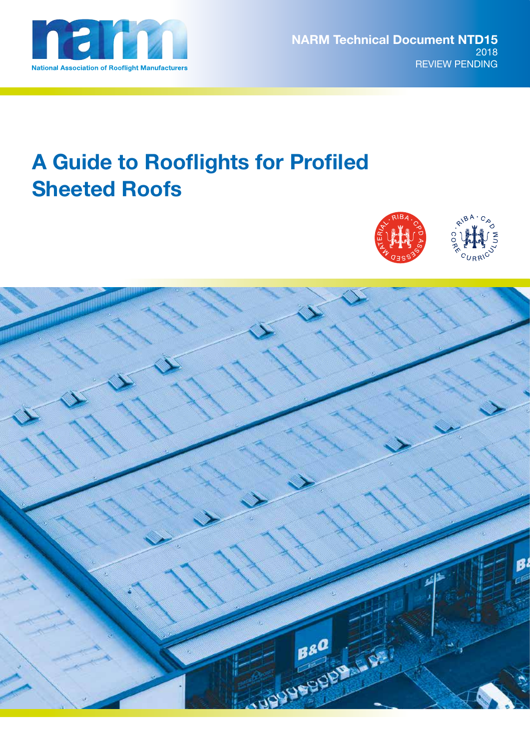

# **A Guide to Rooflights for Profiled Sheeted Roofs**



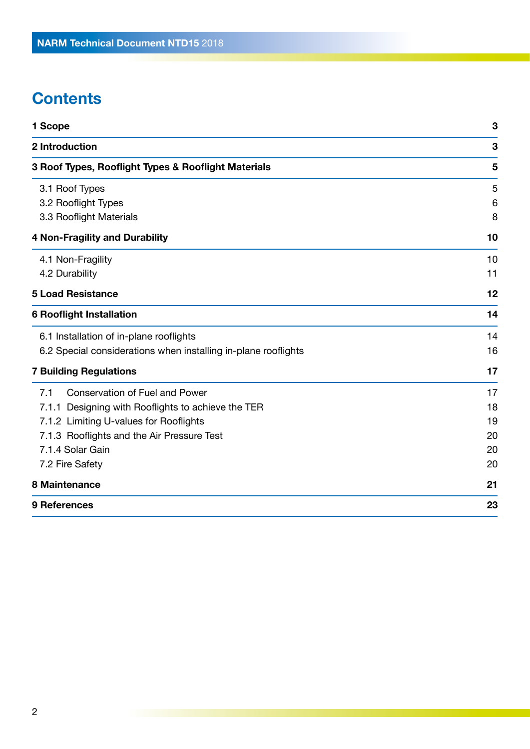# **Contents**

| 1 Scope                                                        | 3               |
|----------------------------------------------------------------|-----------------|
| 2 Introduction                                                 | 3               |
| 3 Roof Types, Rooflight Types & Rooflight Materials            | 5               |
| 3.1 Roof Types                                                 | 5               |
| 3.2 Rooflight Types                                            | $6\phantom{1}6$ |
| 3.3 Rooflight Materials                                        | 8               |
| <b>4 Non-Fragility and Durability</b>                          | 10              |
| 4.1 Non-Fragility                                              | 10              |
| 4.2 Durability                                                 | 11              |
| <b>5 Load Resistance</b>                                       | 12              |
| <b>6 Rooflight Installation</b>                                | 14              |
| 6.1 Installation of in-plane rooflights                        | 14              |
| 6.2 Special considerations when installing in-plane rooflights | 16              |
| <b>7 Building Regulations</b>                                  | 17              |
| <b>Conservation of Fuel and Power</b><br>7.1                   | 17              |
| 7.1.1 Designing with Rooflights to achieve the TER             | 18              |
| 7.1.2 Limiting U-values for Rooflights                         | 19              |
| 7.1.3 Rooflights and the Air Pressure Test                     | 20              |
| 7.1.4 Solar Gain                                               | 20              |
| 7.2 Fire Safety                                                | 20              |
| 8 Maintenance                                                  | 21              |
| 9 References                                                   | 23              |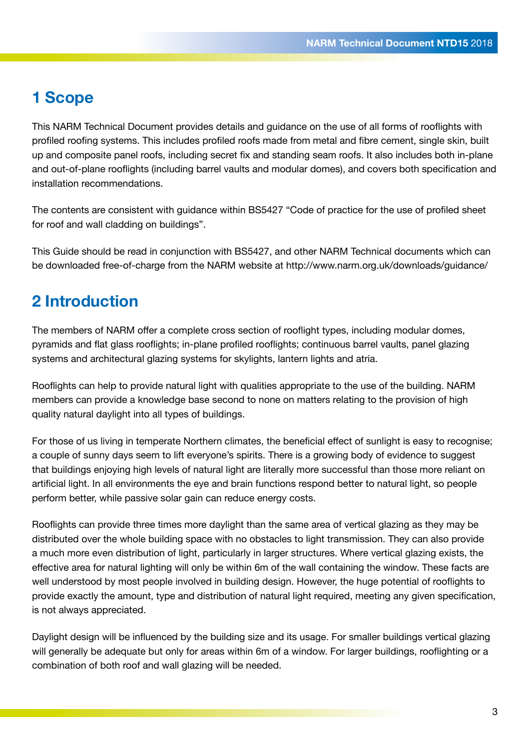### **1 Scope**

This NARM Technical Document provides details and guidance on the use of all forms of rooflights with profiled roofing systems. This includes profiled roofs made from metal and fibre cement, single skin, built up and composite panel roofs, including secret fix and standing seam roofs. It also includes both in-plane and out-of-plane rooflights (including barrel vaults and modular domes), and covers both specification and installation recommendations.

The contents are consistent with guidance within BS5427 "Code of practice for the use of profiled sheet for roof and wall cladding on buildings".

This Guide should be read in conjunction with BS5427, and other NARM Technical documents which can be downloaded free-of-charge from the NARM website at http://www.narm.org.uk/downloads/guidance/

# **2 Introduction**

The members of NARM offer a complete cross section of rooflight types, including modular domes, pyramids and flat glass rooflights; in-plane profiled rooflights; continuous barrel vaults, panel glazing systems and architectural glazing systems for skylights, lantern lights and atria.

Rooflights can help to provide natural light with qualities appropriate to the use of the building. NARM members can provide a knowledge base second to none on matters relating to the provision of high quality natural daylight into all types of buildings.

For those of us living in temperate Northern climates, the beneficial effect of sunlight is easy to recognise; a couple of sunny days seem to lift everyone's spirits. There is a growing body of evidence to suggest that buildings enjoying high levels of natural light are literally more successful than those more reliant on artificial light. In all environments the eye and brain functions respond better to natural light, so people perform better, while passive solar gain can reduce energy costs.

Rooflights can provide three times more daylight than the same area of vertical glazing as they may be distributed over the whole building space with no obstacles to light transmission. They can also provide a much more even distribution of light, particularly in larger structures. Where vertical glazing exists, the effective area for natural lighting will only be within 6m of the wall containing the window. These facts are well understood by most people involved in building design. However, the huge potential of rooflights to provide exactly the amount, type and distribution of natural light required, meeting any given specification, is not always appreciated.

Daylight design will be influenced by the building size and its usage. For smaller buildings vertical glazing will generally be adequate but only for areas within 6m of a window. For larger buildings, rooflighting or a combination of both roof and wall glazing will be needed.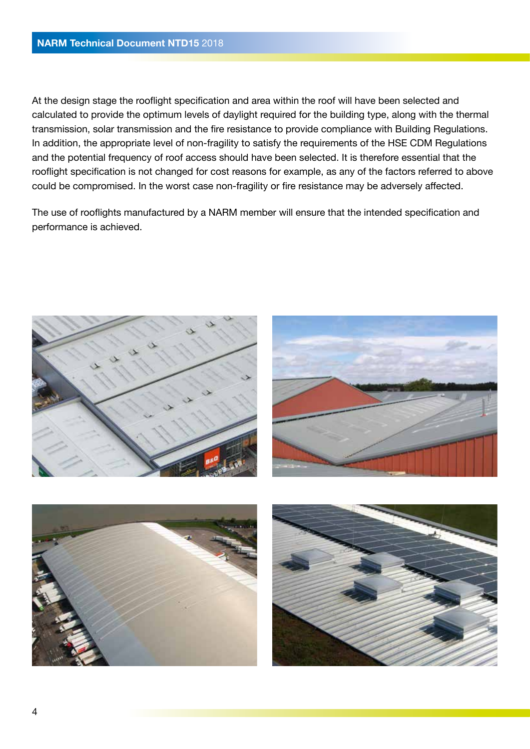At the design stage the rooflight specification and area within the roof will have been selected and calculated to provide the optimum levels of daylight required for the building type, along with the thermal transmission, solar transmission and the fire resistance to provide compliance with Building Regulations. In addition, the appropriate level of non-fragility to satisfy the requirements of the HSE CDM Regulations and the potential frequency of roof access should have been selected. It is therefore essential that the rooflight specification is not changed for cost reasons for example, as any of the factors referred to above could be compromised. In the worst case non-fragility or fire resistance may be adversely affected.

The use of rooflights manufactured by a NARM member will ensure that the intended specification and performance is achieved.

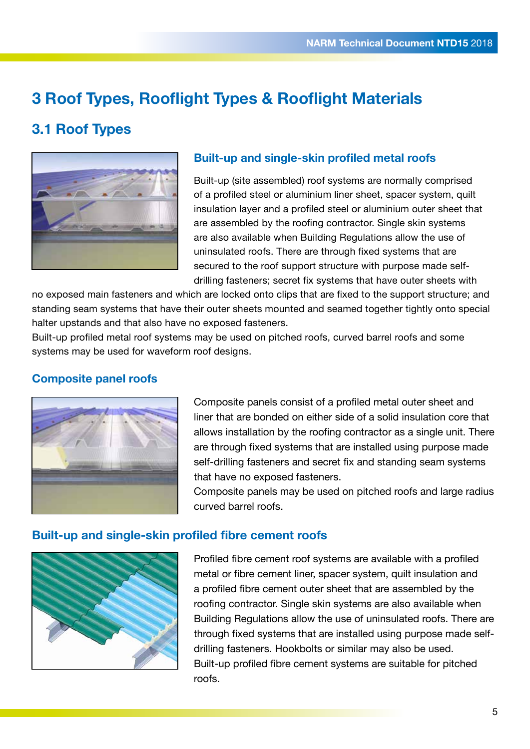# **3 Roof Types, Rooflight Types & Rooflight Materials**

### **3.1 Roof Types**



### **Built-up and single-skin profiled metal roofs**

Built-up (site assembled) roof systems are normally comprised of a profiled steel or aluminium liner sheet, spacer system, quilt insulation layer and a profiled steel or aluminium outer sheet that are assembled by the roofing contractor. Single skin systems are also available when Building Regulations allow the use of uninsulated roofs. There are through fixed systems that are secured to the roof support structure with purpose made selfdrilling fasteners; secret fix systems that have outer sheets with

no exposed main fasteners and which are locked onto clips that are fixed to the support structure; and standing seam systems that have their outer sheets mounted and seamed together tightly onto special halter upstands and that also have no exposed fasteners.

Built-up profiled metal roof systems may be used on pitched roofs, curved barrel roofs and some systems may be used for waveform roof designs.

### **Composite panel roofs**



Composite panels consist of a profiled metal outer sheet and liner that are bonded on either side of a solid insulation core that allows installation by the roofing contractor as a single unit. There are through fixed systems that are installed using purpose made self-drilling fasteners and secret fix and standing seam systems that have no exposed fasteners.

Composite panels may be used on pitched roofs and large radius curved barrel roofs.

#### **Built-up and single-skin profiled fibre cement roofs**



Profiled fibre cement roof systems are available with a profiled metal or fibre cement liner, spacer system, quilt insulation and a profiled fibre cement outer sheet that are assembled by the roofing contractor. Single skin systems are also available when Building Regulations allow the use of uninsulated roofs. There are through fixed systems that are installed using purpose made selfdrilling fasteners. Hookbolts or similar may also be used. Built-up profiled fibre cement systems are suitable for pitched roofs.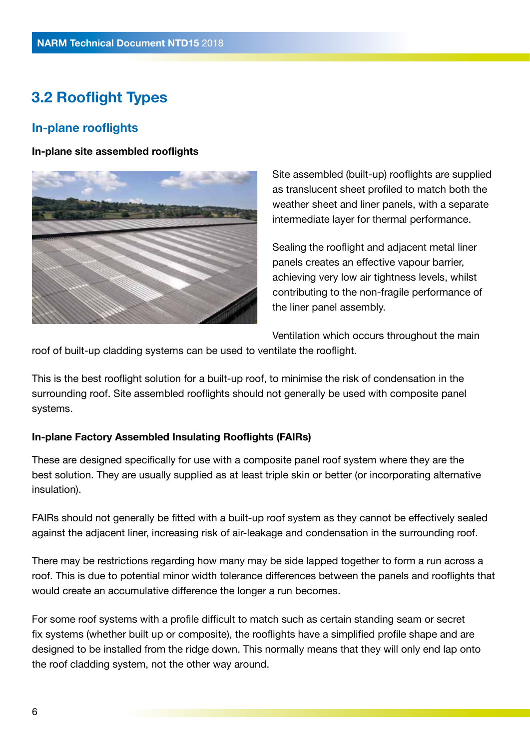## **3.2 Rooflight Types**

### **In-plane rooflights**

**In-plane site assembled rooflights** 



Site assembled (built-up) rooflights are supplied as translucent sheet profiled to match both the weather sheet and liner panels, with a separate intermediate layer for thermal performance.

Sealing the rooflight and adjacent metal liner panels creates an effective vapour barrier, achieving very low air tightness levels, whilst contributing to the non-fragile performance of the liner panel assembly.

Ventilation which occurs throughout the main

roof of built-up cladding systems can be used to ventilate the rooflight.

This is the best rooflight solution for a built-up roof, to minimise the risk of condensation in the surrounding roof. Site assembled rooflights should not generally be used with composite panel systems.

#### **In-plane Factory Assembled Insulating Rooflights (FAIRs)**

These are designed specifically for use with a composite panel roof system where they are the best solution. They are usually supplied as at least triple skin or better (or incorporating alternative insulation).

FAIRs should not generally be fitted with a built-up roof system as they cannot be effectively sealed against the adjacent liner, increasing risk of air-leakage and condensation in the surrounding roof.

There may be restrictions regarding how many may be side lapped together to form a run across a roof. This is due to potential minor width tolerance differences between the panels and rooflights that would create an accumulative difference the longer a run becomes.

For some roof systems with a profile difficult to match such as certain standing seam or secret fix systems (whether built up or composite), the rooflights have a simplified profile shape and are designed to be installed from the ridge down. This normally means that they will only end lap onto the roof cladding system, not the other way around.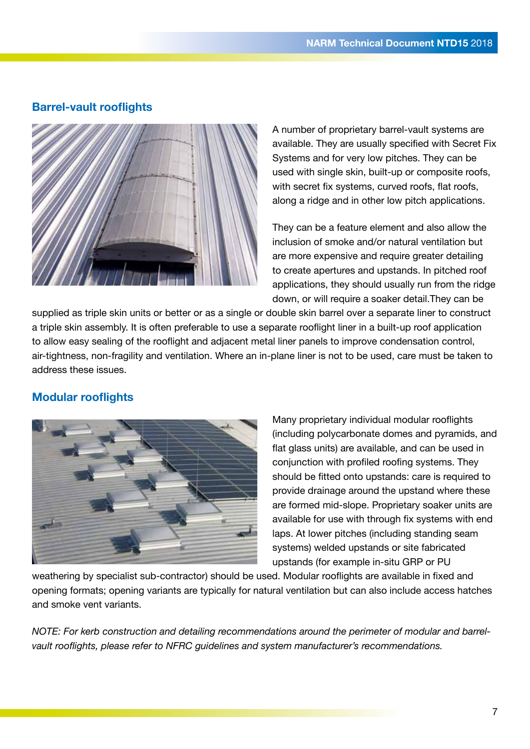### **Barrel-vault rooflights**



A number of proprietary barrel-vault systems are available. They are usually specified with Secret Fix Systems and for very low pitches. They can be used with single skin, built-up or composite roofs, with secret fix systems, curved roofs, flat roofs, along a ridge and in other low pitch applications.

They can be a feature element and also allow the inclusion of smoke and/or natural ventilation but are more expensive and require greater detailing to create apertures and upstands. In pitched roof applications, they should usually run from the ridge down, or will require a soaker detail.They can be

supplied as triple skin units or better or as a single or double skin barrel over a separate liner to construct a triple skin assembly. It is often preferable to use a separate rooflight liner in a built-up roof application to allow easy sealing of the rooflight and adjacent metal liner panels to improve condensation control, air-tightness, non-fragility and ventilation. Where an in-plane liner is not to be used, care must be taken to address these issues.

### **Modular rooflights**



Many proprietary individual modular rooflights (including polycarbonate domes and pyramids, and flat glass units) are available, and can be used in conjunction with profiled roofing systems. They should be fitted onto upstands: care is required to provide drainage around the upstand where these are formed mid-slope. Proprietary soaker units are available for use with through fix systems with end laps. At lower pitches (including standing seam systems) welded upstands or site fabricated upstands (for example in-situ GRP or PU

weathering by specialist sub-contractor) should be used. Modular rooflights are available in fixed and opening formats; opening variants are typically for natural ventilation but can also include access hatches and smoke vent variants.

*NOTE: For kerb construction and detailing recommendations around the perimeter of modular and barrelvault rooflights, please refer to NFRC guidelines and system manufacturer's recommendations.*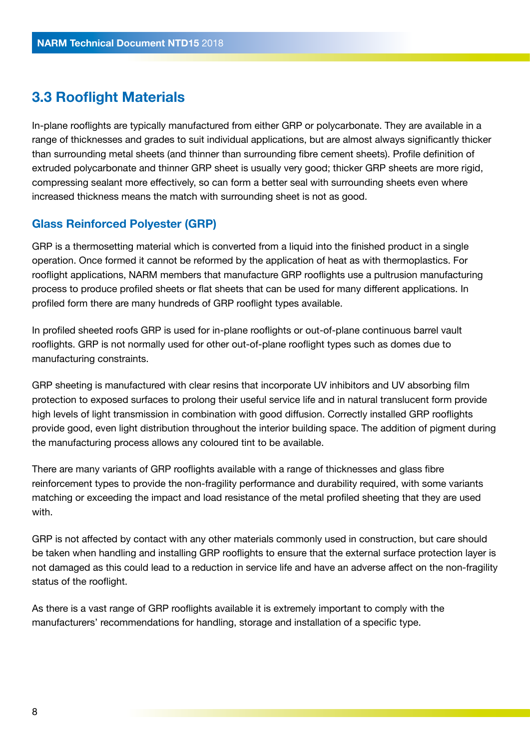### **3.3 Rooflight Materials**

In-plane rooflights are typically manufactured from either GRP or polycarbonate. They are available in a range of thicknesses and grades to suit individual applications, but are almost always significantly thicker than surrounding metal sheets (and thinner than surrounding fibre cement sheets). Profile definition of extruded polycarbonate and thinner GRP sheet is usually very good; thicker GRP sheets are more rigid, compressing sealant more effectively, so can form a better seal with surrounding sheets even where increased thickness means the match with surrounding sheet is not as good.

### **Glass Reinforced Polyester (GRP)**

GRP is a thermosetting material which is converted from a liquid into the finished product in a single operation. Once formed it cannot be reformed by the application of heat as with thermoplastics. For rooflight applications, NARM members that manufacture GRP rooflights use a pultrusion manufacturing process to produce profiled sheets or flat sheets that can be used for many different applications. In profiled form there are many hundreds of GRP rooflight types available.

In profiled sheeted roofs GRP is used for in-plane rooflights or out-of-plane continuous barrel vault rooflights. GRP is not normally used for other out-of-plane rooflight types such as domes due to manufacturing constraints.

GRP sheeting is manufactured with clear resins that incorporate UV inhibitors and UV absorbing film protection to exposed surfaces to prolong their useful service life and in natural translucent form provide high levels of light transmission in combination with good diffusion. Correctly installed GRP rooflights provide good, even light distribution throughout the interior building space. The addition of pigment during the manufacturing process allows any coloured tint to be available.

There are many variants of GRP rooflights available with a range of thicknesses and glass fibre reinforcement types to provide the non-fragility performance and durability required, with some variants matching or exceeding the impact and load resistance of the metal profiled sheeting that they are used with.

GRP is not affected by contact with any other materials commonly used in construction, but care should be taken when handling and installing GRP rooflights to ensure that the external surface protection layer is not damaged as this could lead to a reduction in service life and have an adverse affect on the non-fragility status of the rooflight.

As there is a vast range of GRP rooflights available it is extremely important to comply with the manufacturers' recommendations for handling, storage and installation of a specific type.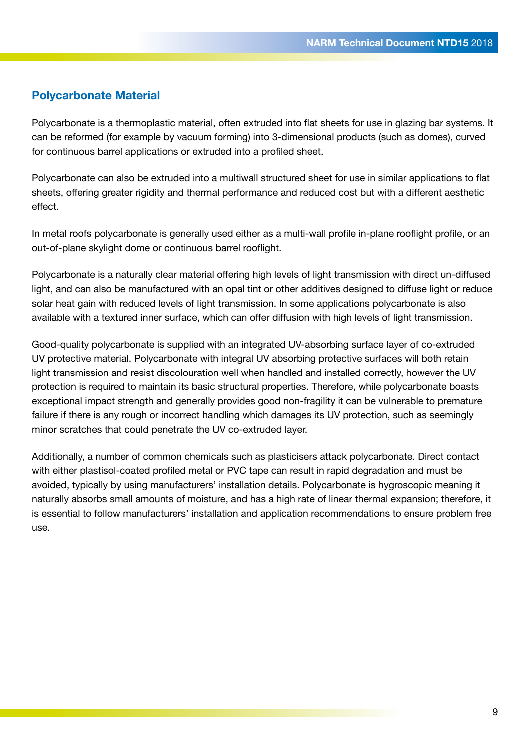### **Polycarbonate Material**

Polycarbonate is a thermoplastic material, often extruded into flat sheets for use in glazing bar systems. It can be reformed (for example by vacuum forming) into 3-dimensional products (such as domes), curved for continuous barrel applications or extruded into a profiled sheet.

Polycarbonate can also be extruded into a multiwall structured sheet for use in similar applications to flat sheets, offering greater rigidity and thermal performance and reduced cost but with a different aesthetic effect.

In metal roofs polycarbonate is generally used either as a multi-wall profile in-plane rooflight profile, or an out-of-plane skylight dome or continuous barrel rooflight.

Polycarbonate is a naturally clear material offering high levels of light transmission with direct un-diffused light, and can also be manufactured with an opal tint or other additives designed to diffuse light or reduce solar heat gain with reduced levels of light transmission. In some applications polycarbonate is also available with a textured inner surface, which can offer diffusion with high levels of light transmission.

Good-quality polycarbonate is supplied with an integrated UV-absorbing surface layer of co-extruded UV protective material. Polycarbonate with integral UV absorbing protective surfaces will both retain light transmission and resist discolouration well when handled and installed correctly, however the UV protection is required to maintain its basic structural properties. Therefore, while polycarbonate boasts exceptional impact strength and generally provides good non-fragility it can be vulnerable to premature failure if there is any rough or incorrect handling which damages its UV protection, such as seemingly minor scratches that could penetrate the UV co-extruded layer.

Additionally, a number of common chemicals such as plasticisers attack polycarbonate. Direct contact with either plastisol-coated profiled metal or PVC tape can result in rapid degradation and must be avoided, typically by using manufacturers' installation details. Polycarbonate is hygroscopic meaning it naturally absorbs small amounts of moisture, and has a high rate of linear thermal expansion; therefore, it is essential to follow manufacturers' installation and application recommendations to ensure problem free use.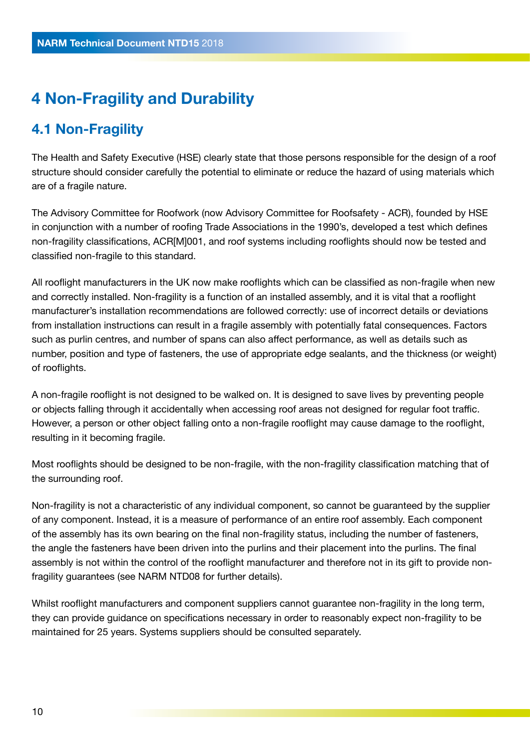# **4 Non-Fragility and Durability**

### **4.1 Non-Fragility**

The Health and Safety Executive (HSE) clearly state that those persons responsible for the design of a roof structure should consider carefully the potential to eliminate or reduce the hazard of using materials which are of a fragile nature.

The Advisory Committee for Roofwork (now Advisory Committee for Roofsafety - ACR), founded by HSE in conjunction with a number of roofing Trade Associations in the 1990's, developed a test which defines non-fragility classifications, ACR[M]001, and roof systems including rooflights should now be tested and classified non-fragile to this standard.

All rooflight manufacturers in the UK now make rooflights which can be classified as non-fragile when new and correctly installed. Non-fragility is a function of an installed assembly, and it is vital that a rooflight manufacturer's installation recommendations are followed correctly: use of incorrect details or deviations from installation instructions can result in a fragile assembly with potentially fatal consequences. Factors such as purlin centres, and number of spans can also affect performance, as well as details such as number, position and type of fasteners, the use of appropriate edge sealants, and the thickness (or weight) of rooflights.

A non-fragile rooflight is not designed to be walked on. It is designed to save lives by preventing people or objects falling through it accidentally when accessing roof areas not designed for regular foot traffic. However, a person or other object falling onto a non-fragile rooflight may cause damage to the rooflight, resulting in it becoming fragile.

Most rooflights should be designed to be non-fragile, with the non-fragility classification matching that of the surrounding roof.

Non-fragility is not a characteristic of any individual component, so cannot be guaranteed by the supplier of any component. Instead, it is a measure of performance of an entire roof assembly. Each component of the assembly has its own bearing on the final non-fragility status, including the number of fasteners, the angle the fasteners have been driven into the purlins and their placement into the purlins. The final assembly is not within the control of the rooflight manufacturer and therefore not in its gift to provide nonfragility guarantees (see NARM NTD08 for further details).

Whilst rooflight manufacturers and component suppliers cannot quarantee non-fragility in the long term, they can provide guidance on specifications necessary in order to reasonably expect non-fragility to be maintained for 25 years. Systems suppliers should be consulted separately.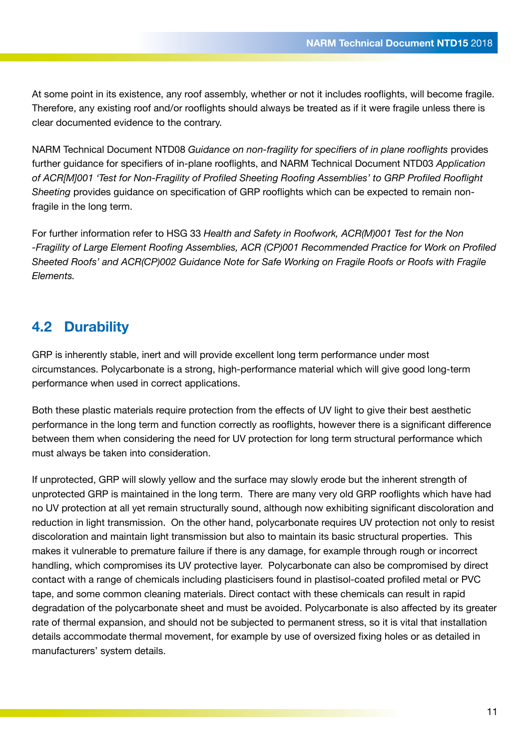At some point in its existence, any roof assembly, whether or not it includes rooflights, will become fragile. Therefore, any existing roof and/or rooflights should always be treated as if it were fragile unless there is clear documented evidence to the contrary.

NARM Technical Document NTD08 *Guidance on non-fragility for specifiers of in plane rooflights* provides further guidance for specifiers of in-plane rooflights, and NARM Technical Document NTD03 *Application of ACR[M]001 'Test for Non-Fragility of Profiled Sheeting Roofing Assemblies' to GRP Profiled Rooflight Sheeting* provides guidance on specification of GRP rooflights which can be expected to remain nonfragile in the long term.

For further information refer to HSG 33 *Health and Safety in Roofwork, ACR(M)001 Test for the Non -Fragility of Large Element Roofing Assemblies, ACR (CP)001 Recommended Practice for Work on Profiled Sheeted Roofs' and ACR(CP)002 Guidance Note for Safe Working on Fragile Roofs or Roofs with Fragile Elements.*

### **4.2 Durability**

GRP is inherently stable, inert and will provide excellent long term performance under most circumstances. Polycarbonate is a strong, high-performance material which will give good long-term performance when used in correct applications.

Both these plastic materials require protection from the effects of UV light to give their best aesthetic performance in the long term and function correctly as rooflights, however there is a significant difference between them when considering the need for UV protection for long term structural performance which must always be taken into consideration.

If unprotected, GRP will slowly yellow and the surface may slowly erode but the inherent strength of unprotected GRP is maintained in the long term. There are many very old GRP rooflights which have had no UV protection at all yet remain structurally sound, although now exhibiting significant discoloration and reduction in light transmission. On the other hand, polycarbonate requires UV protection not only to resist discoloration and maintain light transmission but also to maintain its basic structural properties. This makes it vulnerable to premature failure if there is any damage, for example through rough or incorrect handling, which compromises its UV protective layer. Polycarbonate can also be compromised by direct contact with a range of chemicals including plasticisers found in plastisol-coated profiled metal or PVC tape, and some common cleaning materials. Direct contact with these chemicals can result in rapid degradation of the polycarbonate sheet and must be avoided. Polycarbonate is also affected by its greater rate of thermal expansion, and should not be subjected to permanent stress, so it is vital that installation details accommodate thermal movement, for example by use of oversized fixing holes or as detailed in manufacturers' system details.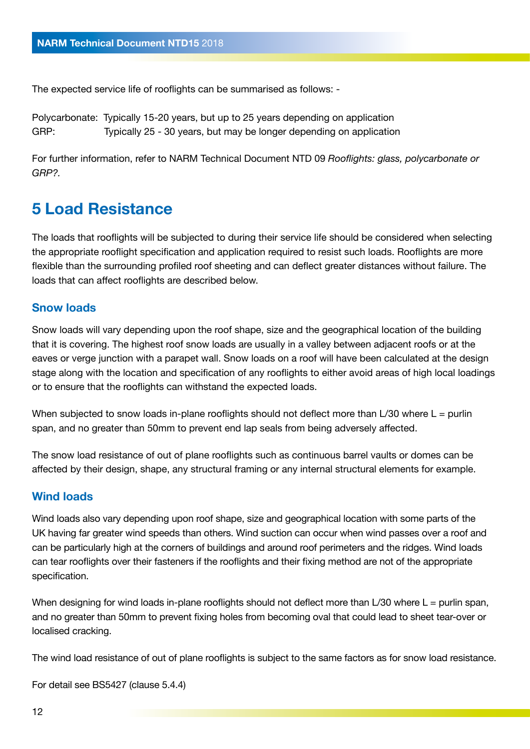The expected service life of rooflights can be summarised as follows: -

Polycarbonate: Typically 15-20 years, but up to 25 years depending on application GRP: Typically 25 - 30 years, but may be longer depending on application

For further information, refer to NARM Technical Document NTD 09 *Rooflights: glass, polycarbonate or GRP?.*

## **5 Load Resistance**

The loads that rooflights will be subjected to during their service life should be considered when selecting the appropriate rooflight specification and application required to resist such loads. Rooflights are more flexible than the surrounding profiled roof sheeting and can deflect greater distances without failure. The loads that can affect rooflights are described below.

#### **Snow loads**

Snow loads will vary depending upon the roof shape, size and the geographical location of the building that it is covering. The highest roof snow loads are usually in a valley between adjacent roofs or at the eaves or verge junction with a parapet wall. Snow loads on a roof will have been calculated at the design stage along with the location and specification of any rooflights to either avoid areas of high local loadings or to ensure that the rooflights can withstand the expected loads.

When subjected to snow loads in-plane rooflights should not deflect more than  $L/30$  where  $L =$  purlin span, and no greater than 50mm to prevent end lap seals from being adversely affected.

The snow load resistance of out of plane rooflights such as continuous barrel vaults or domes can be affected by their design, shape, any structural framing or any internal structural elements for example.

#### **Wind loads**

Wind loads also vary depending upon roof shape, size and geographical location with some parts of the UK having far greater wind speeds than others. Wind suction can occur when wind passes over a roof and can be particularly high at the corners of buildings and around roof perimeters and the ridges. Wind loads can tear rooflights over their fasteners if the rooflights and their fixing method are not of the appropriate specification.

When designing for wind loads in-plane rooflights should not deflect more than  $L/30$  where  $L =$  purlin span, and no greater than 50mm to prevent fixing holes from becoming oval that could lead to sheet tear-over or localised cracking.

The wind load resistance of out of plane rooflights is subject to the same factors as for snow load resistance.

For detail see BS5427 (clause 5.4.4)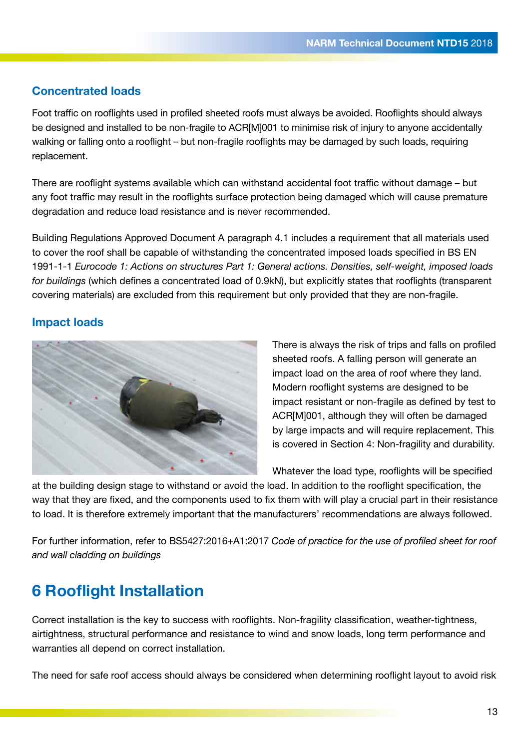### **Concentrated loads**

Foot traffic on rooflights used in profiled sheeted roofs must always be avoided. Rooflights should always be designed and installed to be non-fragile to ACR[M]001 to minimise risk of injury to anyone accidentally walking or falling onto a rooflight – but non-fragile rooflights may be damaged by such loads, requiring replacement.

There are rooflight systems available which can withstand accidental foot traffic without damage – but any foot traffic may result in the rooflights surface protection being damaged which will cause premature degradation and reduce load resistance and is never recommended.

Building Regulations Approved Document A paragraph 4.1 includes a requirement that all materials used to cover the roof shall be capable of withstanding the concentrated imposed loads specified in BS EN 1991-1-1 *Eurocode 1: Actions on structures Part 1: General actions. Densities, self-weight, imposed loads for buildings* (which defines a concentrated load of 0.9kN), but explicitly states that rooflights (transparent covering materials) are excluded from this requirement but only provided that they are non-fragile.

### **Impact loads**



There is always the risk of trips and falls on profiled sheeted roofs. A falling person will generate an impact load on the area of roof where they land. Modern rooflight systems are designed to be impact resistant or non-fragile as defined by test to ACR[M]001, although they will often be damaged by large impacts and will require replacement. This is covered in Section 4: Non-fragility and durability.

Whatever the load type, rooflights will be specified

at the building design stage to withstand or avoid the load. In addition to the rooflight specification, the way that they are fixed, and the components used to fix them with will play a crucial part in their resistance to load. It is therefore extremely important that the manufacturers' recommendations are always followed.

For further information, refer to BS5427:2016+A1:2017 *Code of practice for the use of profiled sheet for roof and wall cladding on buildings*

# **6 Rooflight Installation**

Correct installation is the key to success with rooflights. Non-fragility classification, weather-tightness, airtightness, structural performance and resistance to wind and snow loads, long term performance and warranties all depend on correct installation.

The need for safe roof access should always be considered when determining rooflight layout to avoid risk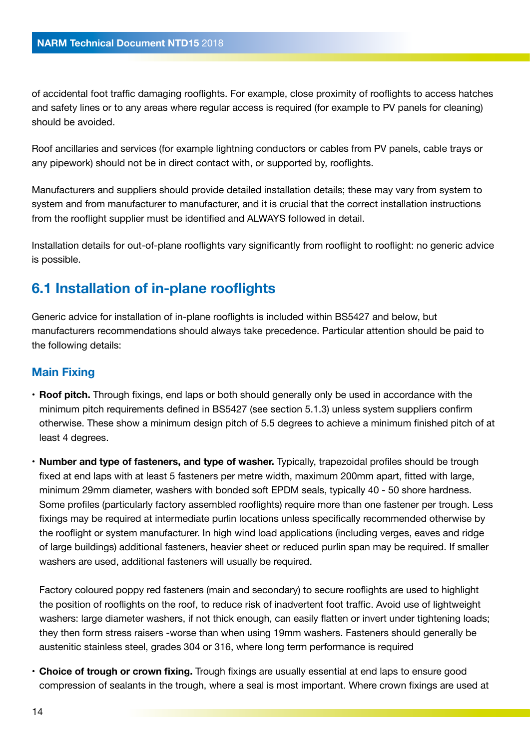of accidental foot traffic damaging rooflights. For example, close proximity of rooflights to access hatches and safety lines or to any areas where regular access is required (for example to PV panels for cleaning) should be avoided.

Roof ancillaries and services (for example lightning conductors or cables from PV panels, cable trays or any pipework) should not be in direct contact with, or supported by, rooflights.

Manufacturers and suppliers should provide detailed installation details; these may vary from system to system and from manufacturer to manufacturer, and it is crucial that the correct installation instructions from the rooflight supplier must be identified and ALWAYS followed in detail.

Installation details for out-of-plane rooflights vary significantly from rooflight to rooflight: no generic advice is possible.

### **6.1 Installation of in-plane rooflights**

Generic advice for installation of in-plane rooflights is included within BS5427 and below, but manufacturers recommendations should always take precedence. Particular attention should be paid to the following details:

### **Main Fixing**

- **Roof pitch.** Through fixings, end laps or both should generally only be used in accordance with the minimum pitch requirements defined in BS5427 (see section 5.1.3) unless system suppliers confirm otherwise. These show a minimum design pitch of 5.5 degrees to achieve a minimum finished pitch of at least 4 degrees.
- **Number and type of fasteners, and type of washer.** Typically, trapezoidal profiles should be trough fixed at end laps with at least 5 fasteners per metre width, maximum 200mm apart, fitted with large, minimum 29mm diameter, washers with bonded soft EPDM seals, typically 40 - 50 shore hardness. Some profiles (particularly factory assembled rooflights) require more than one fastener per trough. Less fixings may be required at intermediate purlin locations unless specifically recommended otherwise by the rooflight or system manufacturer. In high wind load applications (including verges, eaves and ridge of large buildings) additional fasteners, heavier sheet or reduced purlin span may be required. If smaller washers are used, additional fasteners will usually be required.

Factory coloured poppy red fasteners (main and secondary) to secure rooflights are used to highlight the position of rooflights on the roof, to reduce risk of inadvertent foot traffic. Avoid use of lightweight washers: large diameter washers, if not thick enough, can easily flatten or invert under tightening loads; they then form stress raisers -worse than when using 19mm washers. Fasteners should generally be austenitic stainless steel, grades 304 or 316, where long term performance is required

• **Choice of trough or crown fixing.** Trough fixings are usually essential at end laps to ensure good compression of sealants in the trough, where a seal is most important. Where crown fixings are used at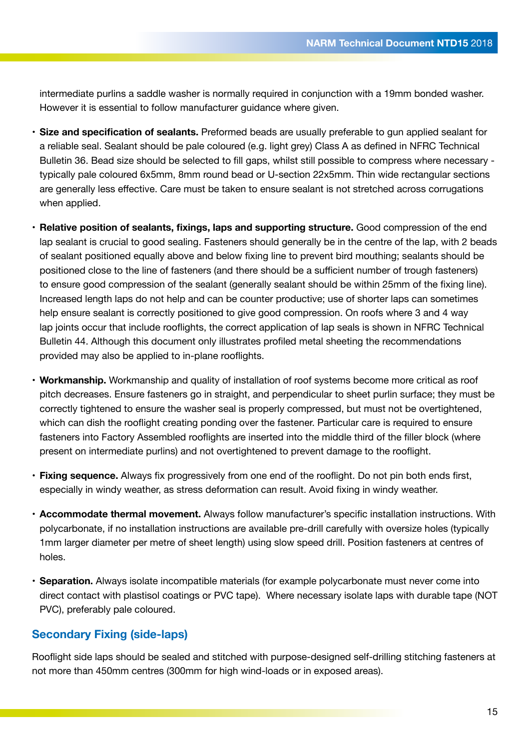intermediate purlins a saddle washer is normally required in conjunction with a 19mm bonded washer. However it is essential to follow manufacturer guidance where given.

- **Size and specification of sealants.** Preformed beads are usually preferable to gun applied sealant for a reliable seal. Sealant should be pale coloured (e.g. light grey) Class A as defined in NFRC Technical Bulletin 36. Bead size should be selected to fill gaps, whilst still possible to compress where necessary typically pale coloured 6x5mm, 8mm round bead or U-section 22x5mm. Thin wide rectangular sections are generally less effective. Care must be taken to ensure sealant is not stretched across corrugations when applied.
- **Relative position of sealants, fixings, laps and supporting structure.** Good compression of the end lap sealant is crucial to good sealing. Fasteners should generally be in the centre of the lap, with 2 beads of sealant positioned equally above and below fixing line to prevent bird mouthing; sealants should be positioned close to the line of fasteners (and there should be a sufficient number of trough fasteners) to ensure good compression of the sealant (generally sealant should be within 25mm of the fixing line). Increased length laps do not help and can be counter productive; use of shorter laps can sometimes help ensure sealant is correctly positioned to give good compression. On roofs where 3 and 4 way lap joints occur that include rooflights, the correct application of lap seals is shown in NFRC Technical Bulletin 44. Although this document only illustrates profiled metal sheeting the recommendations provided may also be applied to in-plane rooflights.
- **Workmanship.** Workmanship and quality of installation of roof systems become more critical as roof pitch decreases. Ensure fasteners go in straight, and perpendicular to sheet purlin surface; they must be correctly tightened to ensure the washer seal is properly compressed, but must not be overtightened, which can dish the rooflight creating ponding over the fastener. Particular care is required to ensure fasteners into Factory Assembled rooflights are inserted into the middle third of the filler block (where present on intermediate purlins) and not overtightened to prevent damage to the rooflight.
- **Fixing sequence.** Always fix progressively from one end of the rooflight. Do not pin both ends first, especially in windy weather, as stress deformation can result. Avoid fixing in windy weather.
- **Accommodate thermal movement.** Always follow manufacturer's specific installation instructions. With polycarbonate, if no installation instructions are available pre-drill carefully with oversize holes (typically 1mm larger diameter per metre of sheet length) using slow speed drill. Position fasteners at centres of holes.
- **Separation.** Always isolate incompatible materials (for example polycarbonate must never come into direct contact with plastisol coatings or PVC tape). Where necessary isolate laps with durable tape (NOT PVC), preferably pale coloured.

#### **Secondary Fixing (side-laps)**

Rooflight side laps should be sealed and stitched with purpose-designed self-drilling stitching fasteners at not more than 450mm centres (300mm for high wind-loads or in exposed areas).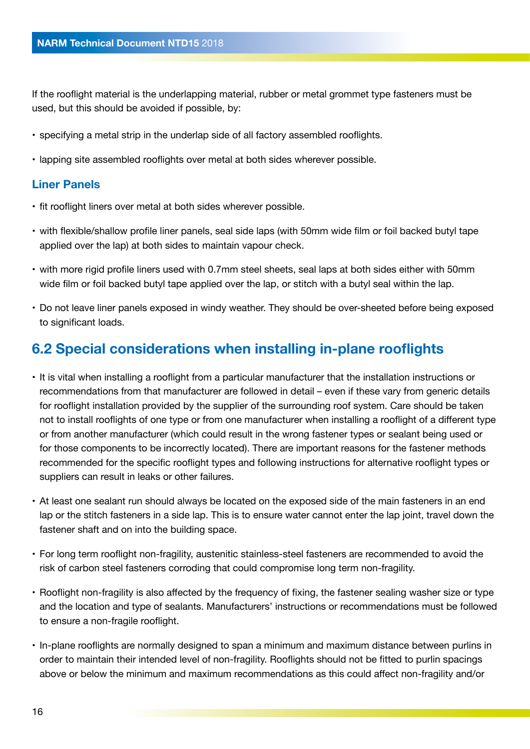If the rooflight material is the underlapping material, rubber or metal grommet type fasteners must be used, but this should be avoided if possible, by:

- specifying a metal strip in the underlap side of all factory assembled rooflights.
- lapping site assembled rooflights over metal at both sides wherever possible.

### **Liner Panels**

- fit rooflight liners over metal at both sides wherever possible.
- with flexible/shallow profile liner panels, seal side laps (with 50mm wide film or foil backed butyl tape applied over the lap) at both sides to maintain vapour check.
- with more rigid profile liners used with 0.7mm steel sheets, seal laps at both sides either with 50mm wide film or foil backed butyl tape applied over the lap, or stitch with a butyl seal within the lap.
- Do not leave liner panels exposed in windy weather. They should be over-sheeted before being exposed to significant loads.

### **6.2 Special considerations when installing in-plane rooflights**

- It is vital when installing a rooflight from a particular manufacturer that the installation instructions or recommendations from that manufacturer are followed in detail – even if these vary from generic details for rooflight installation provided by the supplier of the surrounding roof system. Care should be taken not to install rooflights of one type or from one manufacturer when installing a rooflight of a different type or from another manufacturer (which could result in the wrong fastener types or sealant being used or for those components to be incorrectly located). There are important reasons for the fastener methods recommended for the specific rooflight types and following instructions for alternative rooflight types or suppliers can result in leaks or other failures.
- At least one sealant run should always be located on the exposed side of the main fasteners in an end lap or the stitch fasteners in a side lap. This is to ensure water cannot enter the lap joint, travel down the fastener shaft and on into the building space.
- For long term rooflight non-fragility, austenitic stainless-steel fasteners are recommended to avoid the risk of carbon steel fasteners corroding that could compromise long term non-fragility.
- Rooflight non-fragility is also affected by the frequency of fixing, the fastener sealing washer size or type and the location and type of sealants. Manufacturers' instructions or recommendations must be followed to ensure a non-fragile rooflight.
- In-plane rooflights are normally designed to span a minimum and maximum distance between purlins in order to maintain their intended level of non-fragility. Rooflights should not be fitted to purlin spacings above or below the minimum and maximum recommendations as this could affect non-fragility and/or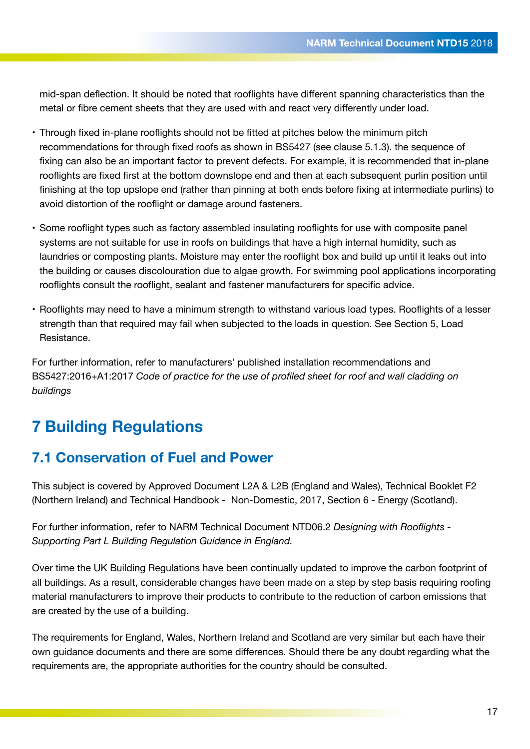mid-span deflection. It should be noted that rooflights have different spanning characteristics than the metal or fibre cement sheets that they are used with and react very differently under load.

- Through fixed in-plane rooflights should not be fitted at pitches below the minimum pitch recommendations for through fixed roofs as shown in BS5427 (see clause 5.1.3). the sequence of fixing can also be an important factor to prevent defects. For example, it is recommended that in-plane rooflights are fixed first at the bottom downslope end and then at each subsequent purlin position until finishing at the top upslope end (rather than pinning at both ends before fixing at intermediate purlins) to avoid distortion of the rooflight or damage around fasteners.
- Some rooflight types such as factory assembled insulating rooflights for use with composite panel systems are not suitable for use in roofs on buildings that have a high internal humidity, such as laundries or composting plants. Moisture may enter the rooflight box and build up until it leaks out into the building or causes discolouration due to algae growth. For swimming pool applications incorporating rooflights consult the rooflight, sealant and fastener manufacturers for specific advice.
- Rooflights may need to have a minimum strength to withstand various load types. Rooflights of a lesser strength than that required may fail when subjected to the loads in question. See Section 5, Load Resistance.

For further information, refer to manufacturers' published installation recommendations and BS5427:2016+A1:2017 *Code of practice for the use of profiled sheet for roof and wall cladding on buildings*

# **7 Building Regulations**

### **7.1 Conservation of Fuel and Power**

This subject is covered by Approved Document L2A & L2B (England and Wales), Technical Booklet F2 (Northern Ireland) and Technical Handbook - Non-Domestic, 2017, Section 6 - Energy (Scotland).

For further information, refer to NARM Technical Document NTD06.2 *Designing with Rooflights - Supporting Part L Building Regulation Guidance in England.*

Over time the UK Building Regulations have been continually updated to improve the carbon footprint of all buildings. As a result, considerable changes have been made on a step by step basis requiring roofing material manufacturers to improve their products to contribute to the reduction of carbon emissions that are created by the use of a building.

The requirements for England, Wales, Northern Ireland and Scotland are very similar but each have their own guidance documents and there are some differences. Should there be any doubt regarding what the requirements are, the appropriate authorities for the country should be consulted.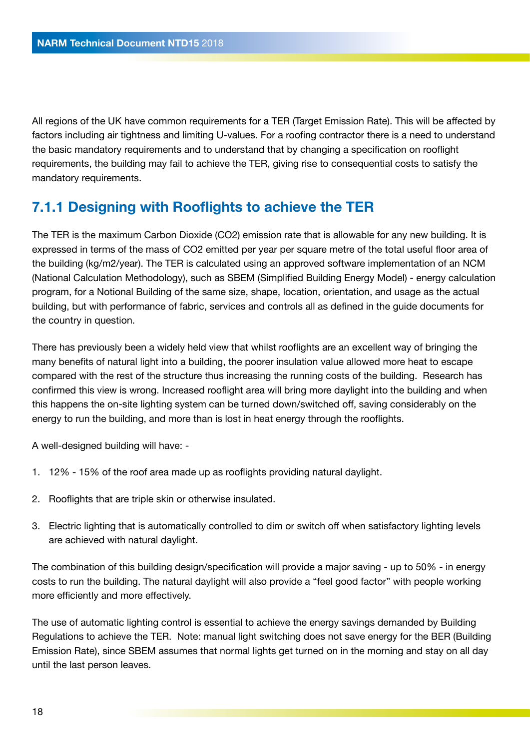All regions of the UK have common requirements for a TER (Target Emission Rate). This will be affected by factors including air tightness and limiting U-values. For a roofing contractor there is a need to understand the basic mandatory requirements and to understand that by changing a specification on rooflight requirements, the building may fail to achieve the TER, giving rise to consequential costs to satisfy the mandatory requirements.

### **7.1.1 Designing with Rooflights to achieve the TER**

The TER is the maximum Carbon Dioxide (CO2) emission rate that is allowable for any new building. It is expressed in terms of the mass of CO2 emitted per year per square metre of the total useful floor area of the building (kg/m2/year). The TER is calculated using an approved software implementation of an NCM (National Calculation Methodology), such as SBEM (Simplified Building Energy Model) - energy calculation program, for a Notional Building of the same size, shape, location, orientation, and usage as the actual building, but with performance of fabric, services and controls all as defined in the guide documents for the country in question.

There has previously been a widely held view that whilst rooflights are an excellent way of bringing the many benefits of natural light into a building, the poorer insulation value allowed more heat to escape compared with the rest of the structure thus increasing the running costs of the building. Research has confirmed this view is wrong. Increased rooflight area will bring more daylight into the building and when this happens the on-site lighting system can be turned down/switched off, saving considerably on the energy to run the building, and more than is lost in heat energy through the rooflights.

A well-designed building will have: -

- 1. 12% 15% of the roof area made up as rooflights providing natural daylight.
- 2. Rooflights that are triple skin or otherwise insulated.
- 3. Electric lighting that is automatically controlled to dim or switch off when satisfactory lighting levels are achieved with natural daylight.

The combination of this building design/specification will provide a major saving - up to 50% - in energy costs to run the building. The natural daylight will also provide a "feel good factor" with people working more efficiently and more effectively.

The use of automatic lighting control is essential to achieve the energy savings demanded by Building Regulations to achieve the TER. Note: manual light switching does not save energy for the BER (Building Emission Rate), since SBEM assumes that normal lights get turned on in the morning and stay on all day until the last person leaves.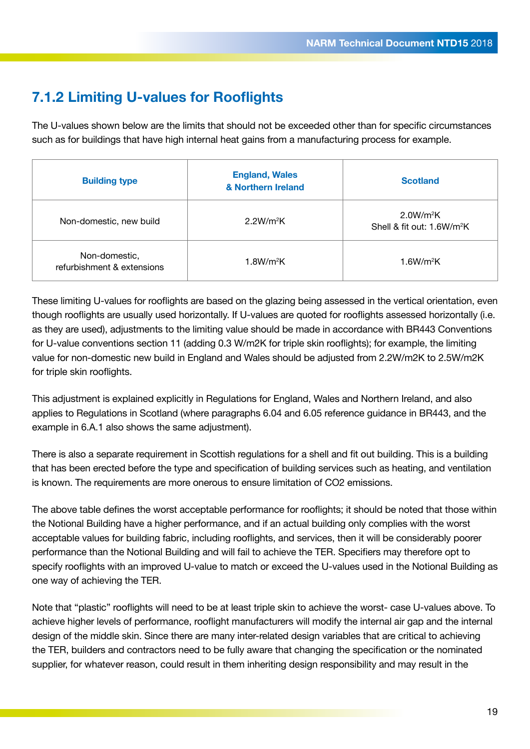### **7.1.2 Limiting U-values for Rooflights**

The U-values shown below are the limits that should not be exceeded other than for specific circumstances such as for buildings that have high internal heat gains from a manufacturing process for example.

| <b>Building type</b>                        | <b>England, Wales</b><br>& Northern Ireland | <b>Scotland</b>                                                 |
|---------------------------------------------|---------------------------------------------|-----------------------------------------------------------------|
| Non-domestic, new build                     | 2.2W/m <sup>2</sup> K                       | 2.0W/m <sup>2</sup> K<br>Shell & fit out: 1.6W/m <sup>2</sup> K |
| Non-domestic,<br>refurbishment & extensions | 1.8W/m <sup>2</sup> K                       | 1.6W/m <sup>2</sup> K                                           |

These limiting U-values for rooflights are based on the glazing being assessed in the vertical orientation, even though rooflights are usually used horizontally. If U-values are quoted for rooflights assessed horizontally (i.e. as they are used), adjustments to the limiting value should be made in accordance with BR443 Conventions for U-value conventions section 11 (adding 0.3 W/m2K for triple skin rooflights); for example, the limiting value for non-domestic new build in England and Wales should be adjusted from 2.2W/m2K to 2.5W/m2K for triple skin rooflights.

This adjustment is explained explicitly in Regulations for England, Wales and Northern Ireland, and also applies to Regulations in Scotland (where paragraphs 6.04 and 6.05 reference guidance in BR443, and the example in 6.A.1 also shows the same adjustment).

There is also a separate requirement in Scottish regulations for a shell and fit out building. This is a building that has been erected before the type and specification of building services such as heating, and ventilation is known. The requirements are more onerous to ensure limitation of CO2 emissions.

The above table defines the worst acceptable performance for rooflights; it should be noted that those within the Notional Building have a higher performance, and if an actual building only complies with the worst acceptable values for building fabric, including rooflights, and services, then it will be considerably poorer performance than the Notional Building and will fail to achieve the TER. Specifiers may therefore opt to specify rooflights with an improved U-value to match or exceed the U-values used in the Notional Building as one way of achieving the TER.

Note that "plastic" rooflights will need to be at least triple skin to achieve the worst- case U-values above. To achieve higher levels of performance, rooflight manufacturers will modify the internal air gap and the internal design of the middle skin. Since there are many inter-related design variables that are critical to achieving the TER, builders and contractors need to be fully aware that changing the specification or the nominated supplier, for whatever reason, could result in them inheriting design responsibility and may result in the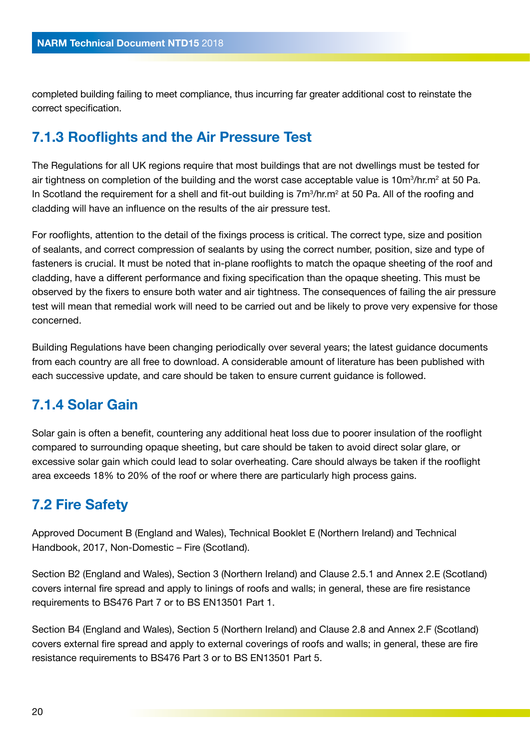completed building failing to meet compliance, thus incurring far greater additional cost to reinstate the correct specification.

### **7.1.3 Rooflights and the Air Pressure Test**

The Regulations for all UK regions require that most buildings that are not dwellings must be tested for air tightness on completion of the building and the worst case acceptable value is 10m $\mathrm{3}/$ hr.m $\mathrm{2}$  at 50 Pa. In Scotland the requirement for a shell and fit-out building is  $7m^3/hr.m^2$  at 50 Pa. All of the roofing and cladding will have an influence on the results of the air pressure test.

For rooflights, attention to the detail of the fixings process is critical. The correct type, size and position of sealants, and correct compression of sealants by using the correct number, position, size and type of fasteners is crucial. It must be noted that in-plane rooflights to match the opaque sheeting of the roof and cladding, have a different performance and fixing specification than the opaque sheeting. This must be observed by the fixers to ensure both water and air tightness. The consequences of failing the air pressure test will mean that remedial work will need to be carried out and be likely to prove very expensive for those concerned.

Building Regulations have been changing periodically over several years; the latest guidance documents from each country are all free to download. A considerable amount of literature has been published with each successive update, and care should be taken to ensure current guidance is followed.

### **7.1.4 Solar Gain**

Solar gain is often a benefit, countering any additional heat loss due to poorer insulation of the rooflight compared to surrounding opaque sheeting, but care should be taken to avoid direct solar glare, or excessive solar gain which could lead to solar overheating. Care should always be taken if the rooflight area exceeds 18% to 20% of the roof or where there are particularly high process gains.

### **7.2 Fire Safety**

Approved Document B (England and Wales), Technical Booklet E (Northern Ireland) and Technical Handbook, 2017, Non-Domestic – Fire (Scotland).

Section B2 (England and Wales), Section 3 (Northern Ireland) and Clause 2.5.1 and Annex 2.E (Scotland) covers internal fire spread and apply to linings of roofs and walls; in general, these are fire resistance requirements to BS476 Part 7 or to BS EN13501 Part 1.

Section B4 (England and Wales), Section 5 (Northern Ireland) and Clause 2.8 and Annex 2.F (Scotland) covers external fire spread and apply to external coverings of roofs and walls; in general, these are fire resistance requirements to BS476 Part 3 or to BS EN13501 Part 5.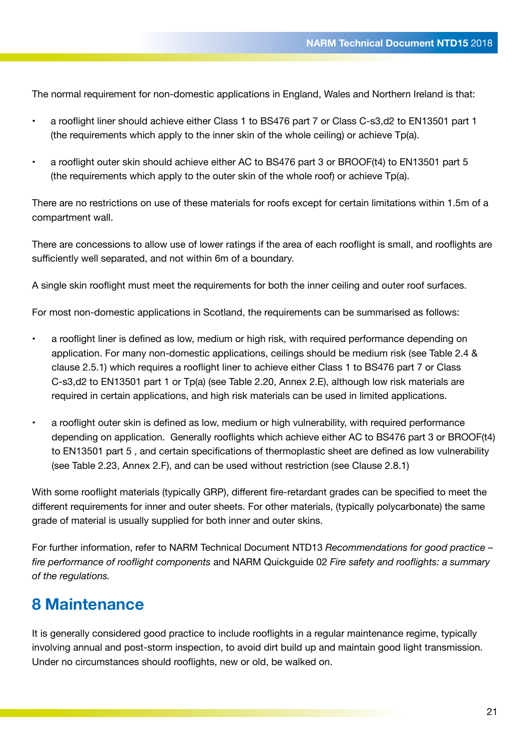The normal requirement for non-domestic applications in England, Wales and Northern Ireland is that:

- a rooflight liner should achieve either Class 1 to BS476 part 7 or Class C-s3,d2 to EN13501 part 1 (the requirements which apply to the inner skin of the whole ceiling) or achieve Tp(a).
- a rooflight outer skin should achieve either AC to BS476 part 3 or BROOF(t4) to EN13501 part 5 (the requirements which apply to the outer skin of the whole roof) or achieve Tp(a).

There are no restrictions on use of these materials for roofs except for certain limitations within 1.5m of a compartment wall.

There are concessions to allow use of lower ratings if the area of each rooflight is small, and rooflights are sufficiently well separated, and not within 6m of a boundary.

A single skin rooflight must meet the requirements for both the inner ceiling and outer roof surfaces.

For most non-domestic applications in Scotland, the requirements can be summarised as follows:

- a rooflight liner is defined as low, medium or high risk, with required performance depending on application. For many non-domestic applications, ceilings should be medium risk (see Table 2.4 & clause 2.5.1) which requires a rooflight liner to achieve either Class 1 to BS476 part 7 or Class C-s3,d2 to EN13501 part 1 or Tp(a) (see Table 2.20, Annex 2.E), although low risk materials are required in certain applications, and high risk materials can be used in limited applications.
- a rooflight outer skin is defined as low, medium or high vulnerability, with required performance depending on application. Generally rooflights which achieve either AC to BS476 part 3 or BROOF(t4) to EN13501 part 5 , and certain specifications of thermoplastic sheet are defined as low vulnerability (see Table 2.23, Annex 2.F), and can be used without restriction (see Clause 2.8.1)

With some rooflight materials (typically GRP), different fire-retardant grades can be specified to meet the different requirements for inner and outer sheets. For other materials, (typically polycarbonate) the same grade of material is usually supplied for both inner and outer skins.

For further information, refer to NARM Technical Document NTD13 *Recommendations for good practice – fire performance of rooflight components* and NARM Quickguide 02 *Fire safety and rooflights: a summary of the regulations.*

# **8 Maintenance**

It is generally considered good practice to include rooflights in a regular maintenance regime, typically involving annual and post-storm inspection, to avoid dirt build up and maintain good light transmission. Under no circumstances should rooflights, new or old, be walked on.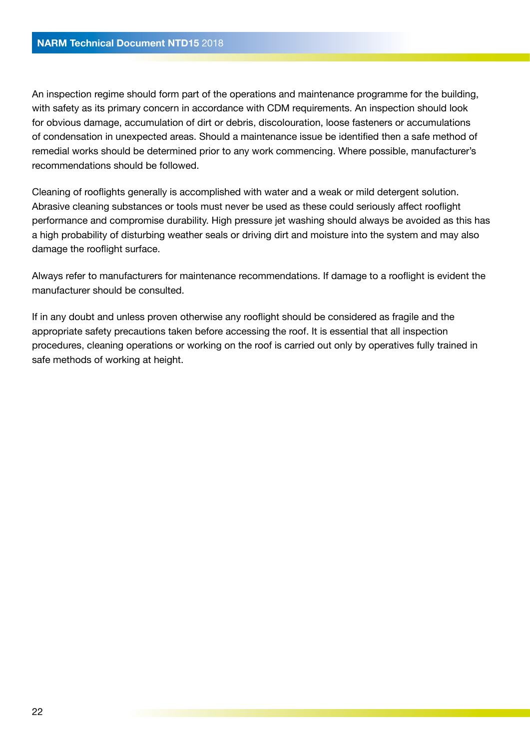An inspection regime should form part of the operations and maintenance programme for the building, with safety as its primary concern in accordance with CDM requirements. An inspection should look for obvious damage, accumulation of dirt or debris, discolouration, loose fasteners or accumulations of condensation in unexpected areas. Should a maintenance issue be identified then a safe method of remedial works should be determined prior to any work commencing. Where possible, manufacturer's recommendations should be followed.

Cleaning of rooflights generally is accomplished with water and a weak or mild detergent solution. Abrasive cleaning substances or tools must never be used as these could seriously affect rooflight performance and compromise durability. High pressure jet washing should always be avoided as this has a high probability of disturbing weather seals or driving dirt and moisture into the system and may also damage the rooflight surface.

Always refer to manufacturers for maintenance recommendations. If damage to a rooflight is evident the manufacturer should be consulted.

If in any doubt and unless proven otherwise any rooflight should be considered as fragile and the appropriate safety precautions taken before accessing the roof. It is essential that all inspection procedures, cleaning operations or working on the roof is carried out only by operatives fully trained in safe methods of working at height.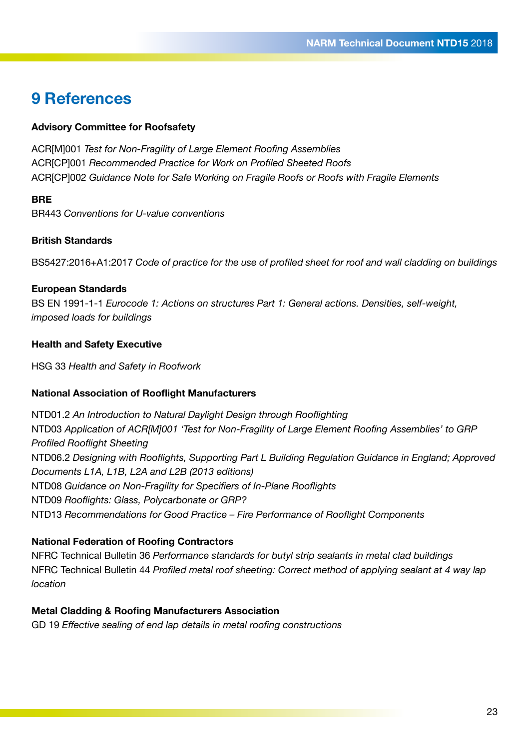### **9 References**

#### **Advisory Committee for Roofsafety**

ACR[M]001 *Test for Non-Fragility of Large Element Roofing Assemblies* ACR[CP]001 *Recommended Practice for Work on Profiled Sheeted Roofs* ACR[CP]002 *Guidance Note for Safe Working on Fragile Roofs or Roofs with Fragile Elements* 

#### **BRE**

BR443 *Conventions for U-value conventions*

#### **British Standards**

BS5427:2016+A1:2017 *Code of practice for the use of profiled sheet for roof and wall cladding on buildings*

#### **European Standards**

BS EN 1991-1-1 *Eurocode 1: Actions on structures Part 1: General actions. Densities, self-weight, imposed loads for buildings*

#### **Health and Safety Executive**

HSG 33 *Health and Safety in Roofwork*

#### **National Association of Rooflight Manufacturers**

NTD01.2 *An Introduction to Natural Daylight Design through Rooflighting* NTD03 *Application of ACR[M]001 'Test for Non-Fragility of Large Element Roofing Assemblies' to GRP Profiled Rooflight Sheeting* NTD06.2 *Designing with Rooflights, Supporting Part L Building Regulation Guidance in England; Approved Documents L1A, L1B, L2A and L2B (2013 editions)* NTD08 *Guidance on Non-Fragility for Specifiers of In-Plane Rooflights* NTD09 *Rooflights: Glass, Polycarbonate or GRP?* NTD13 *Recommendations for Good Practice – Fire Performance of Rooflight Components*

#### **National Federation of Roofing Contractors**

NFRC Technical Bulletin 36 *Performance standards for butyl strip sealants in metal clad buildings* NFRC Technical Bulletin 44 *Profiled metal roof sheeting: Correct method of applying sealant at 4 way lap location*

#### **Metal Cladding & Roofing Manufacturers Association**

GD 19 *Effective sealing of end lap details in metal roofing constructions*